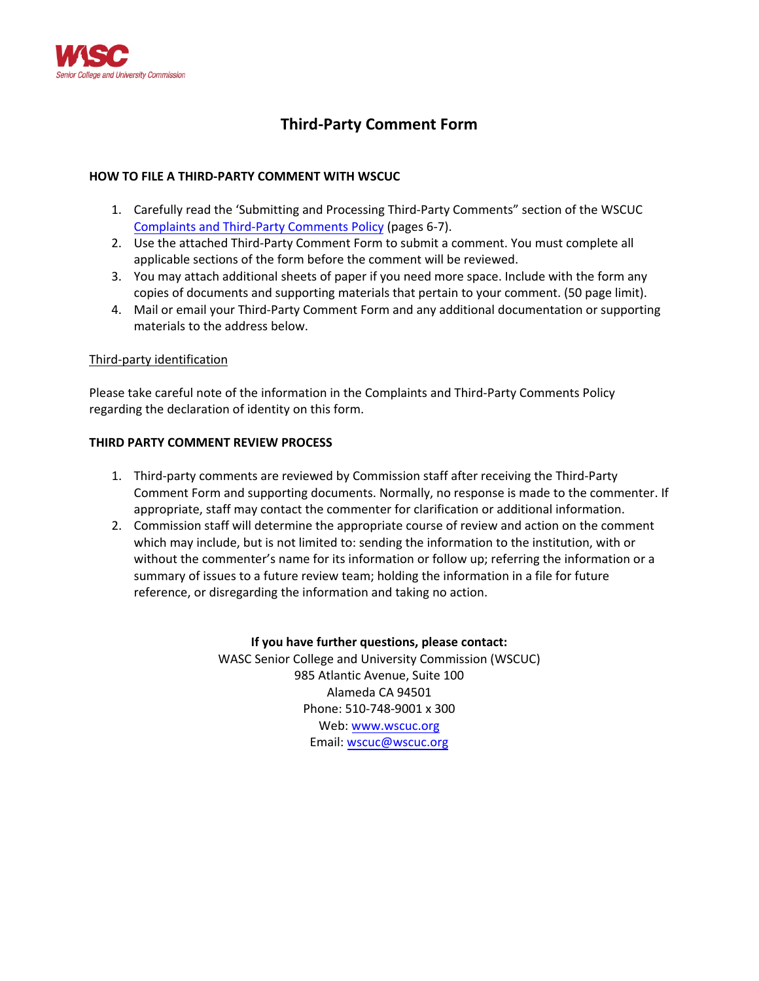

# **Third-Party Comment Form**

### **HOW TO FILE A THIRD-PARTY COMMENT WITH WSCUC**

- 1. Carefully read the 'Submitting and Processing Third-Party Comments" section of the WSCUC [Complaints and Third-Party Comments](https://wascsenior.box.com/shared/static/x2j13qq6vabsspk95euk.pdf) Policy (pages 6-7).
- 2. Use the attached Third-Party Comment Form to submit a comment. You must complete all applicable sections of the form before the comment will be reviewed.
- 3. You may attach additional sheets of paper if you need more space. Include with the form any copies of documents and supporting materials that pertain to your comment. (50 page limit).
- 4. Mail or email your Third-Party Comment Form and any additional documentation or supporting materials to the address below.

#### Third-party identification

Please take careful note of the information in the Complaints and Third-Party Comments Policy regarding the declaration of identity on this form.

#### **THIRD PARTY COMMENT REVIEW PROCESS**

- 1. Third-party comments are reviewed by Commission staff after receiving the Third-Party Comment Form and supporting documents. Normally, no response is made to the commenter. If appropriate, staff may contact the commenter for clarification or additional information.
- 2. Commission staff will determine the appropriate course of review and action on the comment which may include, but is not limited to: sending the information to the institution, with or without the commenter's name for its information or follow up; referring the information or a summary of issues to a future review team; holding the information in a file for future reference, or disregarding the information and taking no action.

#### **If you have further questions, please contact:**

WASC Senior College and University Commission (WSCUC) 985 Atlantic Avenue, Suite 100 Alameda CA 94501 Phone: 510-748-9001 x 300 Web: www.wscuc.org Email: [wscuc@wscuc.org](mailto:wscuc@wscuc.org)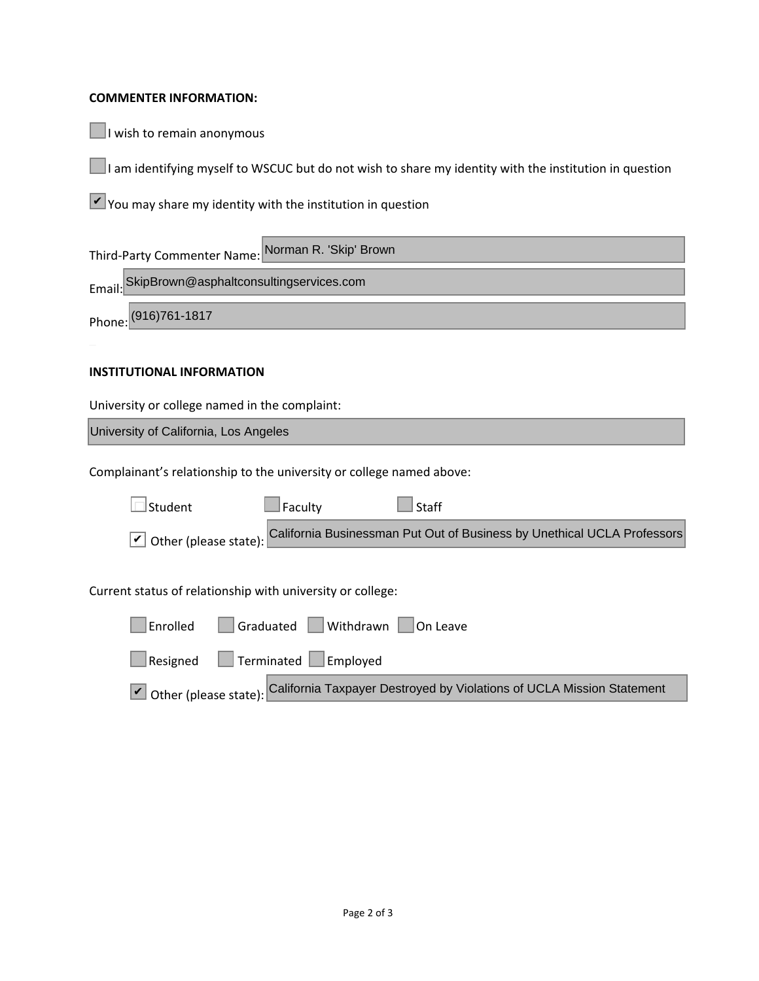## **COMMENTER INFORMATION:**

 $\Box$  I wish to remain anonymous

■I am identifying myself to WSCUC but do not wish to share my identity with the institution in question

 $\vee$  You may share my identity with the institution in question

| Third-Party Commenter Name: Norman R. 'Skip' Brown |                                                |  |  |
|----------------------------------------------------|------------------------------------------------|--|--|
|                                                    | Email: SkipBrown@asphaltconsultingservices.com |  |  |
|                                                    | Phone: (916)761-1817                           |  |  |
|                                                    |                                                |  |  |

## **INSTITUTIONAL INFORMATION**

University or college named in the complaint:

\_\_\_\_\_\_\_\_\_\_\_\_\_\_\_\_\_\_\_\_\_\_\_\_\_\_\_\_\_\_\_\_\_\_\_\_\_\_\_\_\_\_\_\_\_\_\_\_\_\_\_\_\_\_\_\_\_\_\_\_\_\_\_\_\_\_\_\_\_\_\_\_\_\_\_\_\_\_\_\_\_\_\_\_ University of California, Los Angeles

Complainant's relationship to the university or college named above:

| Student                                                    | Faculty                        | <b>Staff</b>                                                                                  |  |  |
|------------------------------------------------------------|--------------------------------|-----------------------------------------------------------------------------------------------|--|--|
|                                                            |                                | Other (please state): California Businessman Put Out of Business by Unethical UCLA Professors |  |  |
|                                                            |                                |                                                                                               |  |  |
| Current status of relationship with university or college: |                                |                                                                                               |  |  |
| Enrolled                                                   | Graduated Withdrawn   On Leave |                                                                                               |  |  |
| Resigned                                                   | Terminated Employed            |                                                                                               |  |  |
|                                                            |                                | Other (please state): California Taxpayer Destroyed by Violations of UCLA Mission Statement   |  |  |